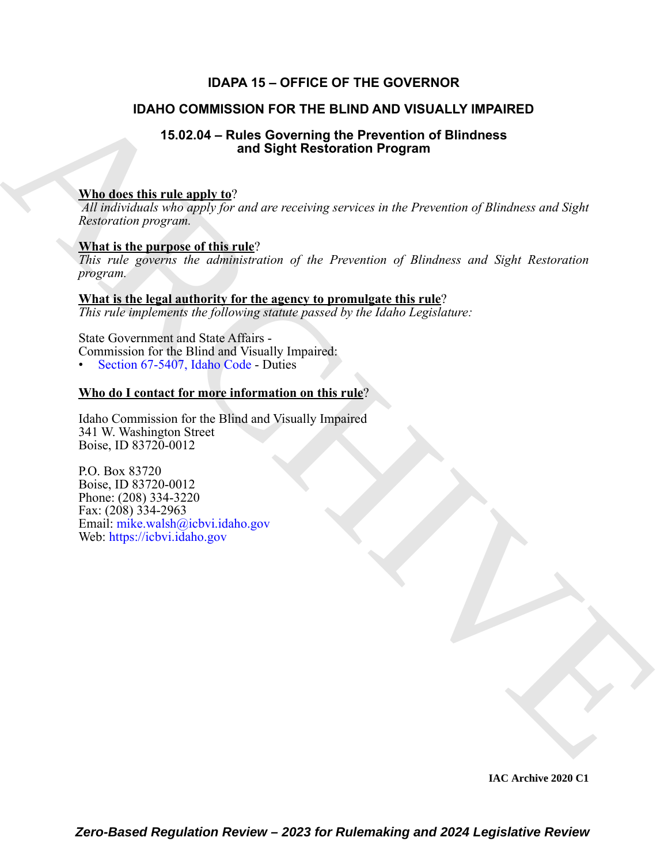# **IDAPA 15 – OFFICE OF THE GOVERNOR**

# **IDAHO COMMISSION FOR THE BLIND AND VISUALLY IMPAIRED**

# **15.02.04 – Rules Governing the Prevention of Blindness and Sight Restoration Program**

## **Who does this rule apply to**?

*All individuals who apply for and are receiving services in the Prevention of Blindness and Sight Restoration program.*

## **What is the purpose of this rule**?

*This rule governs the administration of the Prevention of Blindness and Sight Restoration program.*

### **What is the legal authority for the agency to promulgate this rule**?

*This rule implements the following statute passed by the Idaho Legislature:*

State Government and State Affairs - Commission for the Blind and Visually Impaired: • Section 67-5407, Idaho Code - Duties

# **Who do I contact for more information on this rule**?

Idaho Commission for the Blind and Visually Impaired 341 W. Washington Street Boise, ID 83720-0012

**IDAHO COMMISSION FOR THE BLIND AND VISUALLY IMPAIRED**<br>
15.02.04 - Rand Sighti Reselventing the Prevention of Blindness<br>
A[RC](https://legislature.idaho.gov/statutesrules/idstat/Title67/T67CH54/SECT67-5407/)[HIV](mailto:mike.walsh@icbvi.idaho.gov)E TREE and Sight Reselvention Forgram<br>
ARCHIVE TREE and Sight Reselvention of the Prevention o P.O. Box 83720 Boise, ID 83720-0012 Phone: (208) 334-3220 Fax: (208) 334-2963 Email: mike.walsh@icbvi.idaho.gov Web: https://icbvi.idaho.gov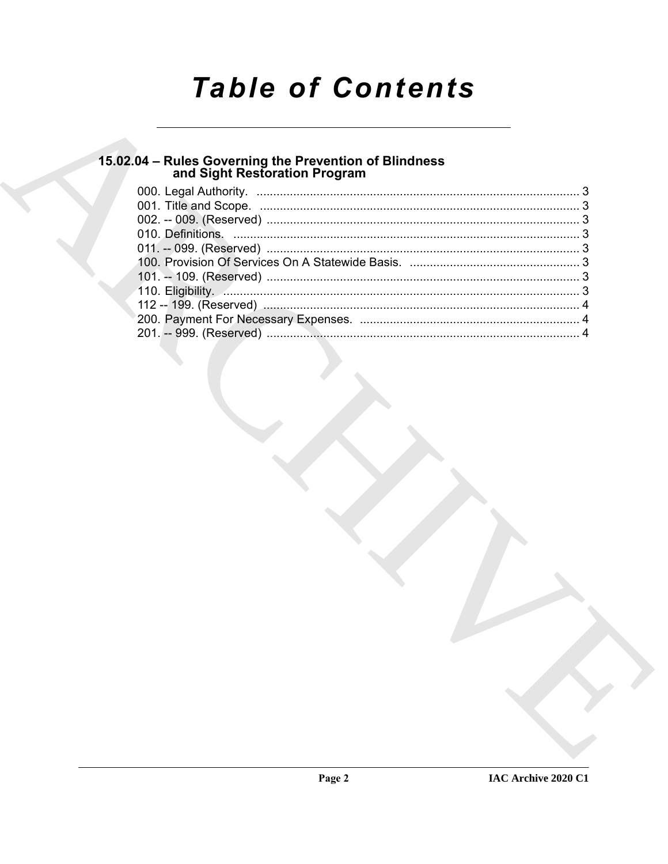# **Table of Contents**

# 15.02.04 – Rules Governing the Prevention of Blindness<br>and Sight Restoration Program

| 110. Eligibility. 2. 2. 2. 2. 2. 2. 2. 2. 3. 3. 3. 2. 2. 2. 3. 3. 3. 3. 2. 2. 3. 3. 3. 4. 2. 3. 3. 4. 2. 3. 3. |  |
|----------------------------------------------------------------------------------------------------------------|--|
|                                                                                                                |  |
|                                                                                                                |  |
|                                                                                                                |  |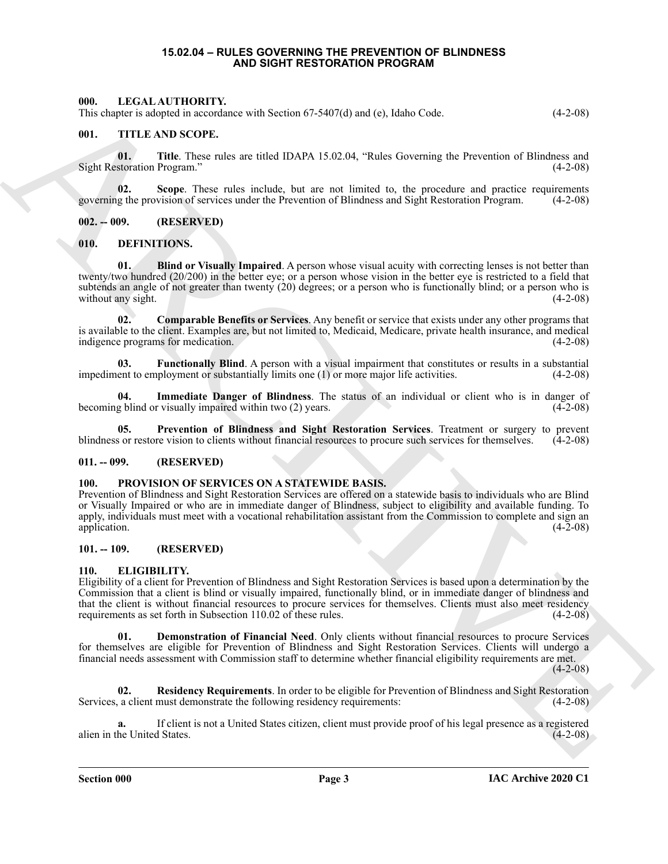#### **15.02.04 – RULES GOVERNING THE PREVENTION OF BLINDNESS AND SIGHT RESTORATION PROGRAM**

#### <span id="page-2-18"></span><span id="page-2-1"></span><span id="page-2-0"></span>**000. LEGAL AUTHORITY.**

This chapter is adopted in accordance with Section 67-5407(d) and (e), Idaho Code. (4-2-08)

#### <span id="page-2-20"></span><span id="page-2-2"></span>**001. TITLE AND SCOPE.**

**01.** Title. These rules are titled IDAPA 15.02.04, "Rules Governing the Prevention of Blindness and storation Program." (4-2-08) Sight Restoration Program."

**02. Scope**. These rules include, but are not limited to, the procedure and practice requirements governing the provision of services under the Prevention of Blindness and Sight Restoration Program. (4-2-08)

<span id="page-2-3"></span>**002. -- 009. (RESERVED)**

#### <span id="page-2-9"></span><span id="page-2-4"></span>**010. DEFINITIONS.**

<span id="page-2-10"></span>**01. Blind or Visually Impaired**. A person whose visual acuity with correcting lenses is not better than twenty/two hundred (20/200) in the better eye; or a person whose vision in the better eye is restricted to a field that subtends an angle of not greater than twenty (20) degrees; or a person who is functionally blind; or a person who is without any sight. (4-2-08)

<span id="page-2-11"></span>**02. Comparable Benefits or Services**. Any benefit or service that exists under any other programs that is available to the client. Examples are, but not limited to, Medicaid, Medicare, private health insurance, and medical indigence programs for medication. (4-2-08)

<span id="page-2-12"></span>**03. Functionally Blind**. A person with a visual impairment that constitutes or results in a substantial impediment to employment or substantially limits one (1) or more major life activities. (4-2-08)

<span id="page-2-13"></span>**04.** Immediate Danger of Blindness. The status of an individual or client who is in danger of g blind or visually impaired within two (2) years. (4-2-08) becoming blind or visually impaired within two (2) years.

<span id="page-2-14"></span>**05. Prevention of Blindness and Sight Restoration Services**. Treatment or surgery to prevent blindness or restore vision to clients without financial resources to procure such services for themselves. (4-2-08)

#### <span id="page-2-5"></span>**011. -- 099. (RESERVED)**

#### <span id="page-2-19"></span><span id="page-2-6"></span>**100. PROVISION OF SERVICES ON A STATEWIDE BASIS.**

Prevention of Blindness and Sight Restoration Services are offered on a statewide basis to individuals who are Blind or Visually Impaired or who are in immediate danger of Blindness, subject to eligibility and available funding. To apply, individuals must meet with a vocational rehabilitation assistant from the Commission to complete and sign an application. (4-2-08) application.  $(4-2-08)$ 

#### <span id="page-2-7"></span>**101. -- 109. (RESERVED)**

#### <span id="page-2-15"></span><span id="page-2-8"></span>**110. ELIGIBILITY.**

601. THE A AND NOONTY-TO-RESERVE with Section (3-440) (3-42) by basis Case. (4-2.46)<br>
(1). THE A ARCHIVEST PRODUCTS.<br>
(1). THE ARCHIVEST PRODUCTS ARE CAN ARCHIVEST PRODUCTS ARE CAN ARCHIVEST PRODUCTS ARE CAN ARCHIVEST PRO Eligibility of a client for Prevention of Blindness and Sight Restoration Services is based upon a determination by the Commission that a client is blind or visually impaired, functionally blind, or in immediate danger of blindness and that the client is without financial resources to procure services for themselves. Clients must also meet residency requirements as set forth in Subsection 110.02 of these rules. (4-2-08)

<span id="page-2-16"></span>**01. Demonstration of Financial Need**. Only clients without financial resources to procure Services for themselves are eligible for Prevention of Blindness and Sight Restoration Services. Clients will undergo a financial needs assessment with Commission staff to determine whether financial eligibility requirements are met.

(4-2-08)

<span id="page-2-17"></span>**02. Residency Requirements**. In order to be eligible for Prevention of Blindness and Sight Restoration Services, a client must demonstrate the following residency requirements: (4-2-08)

**a.** If client is not a United States citizen, client must provide proof of his legal presence as a registered alien in the United States. (4-2-08)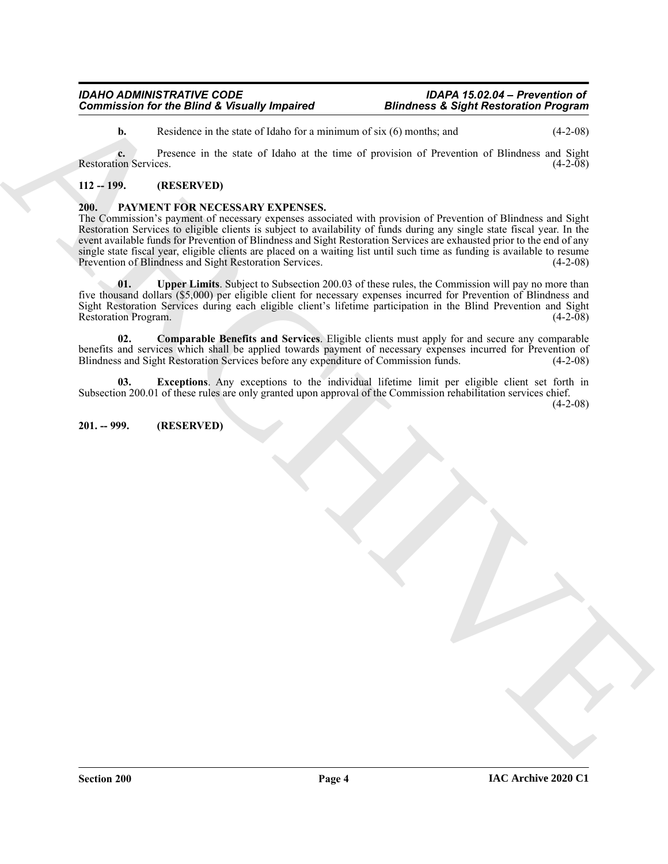#### *IDAHO ADMINISTRATIVE CODE IDAPA 15.02.04 – Prevention of Commission for the Blind & Visually Impaired*

**b.** Residence in the state of Idaho for a minimum of six (6) months; and (4-2-08)

**c.** Presence in the state of Idaho at the time of provision of Prevention of Blindness and Sight Restoration Services. (4-2-08)

### <span id="page-3-0"></span>**112 -- 199. (RESERVED)**

#### <span id="page-3-3"></span><span id="page-3-1"></span>**200. PAYMENT FOR NECESSARY EXPENSES.**

Commissions for the Blund & Versundy Impaired<br>
Blundwess & Sight Restoration Properties<br>  $\mu$  Restoration Section 24 the set of Higher and the summarization of the neural of the set of  $\pm 2$  when<br>
Blundwess Section 24 th The Commission's payment of necessary expenses associated with provision of Prevention of Blindness and Sight Restoration Services to eligible clients is subject to availability of funds during any single state fiscal year. In the event available funds for Prevention of Blindness and Sight Restoration Services are exhausted prior to the end of any single state fiscal year, eligible clients are placed on a waiting list until such time as funding is available to resume<br>Prevention of Blindness and Sight Restoration Services. Prevention of Blindness and Sight Restoration Services.

<span id="page-3-6"></span>**01.** Upper Limits. Subject to Subsection 200.03 of these rules, the Commission will pay no more than five thousand dollars (\$5,000) per eligible client for necessary expenses incurred for Prevention of Blindness and Sight Restoration Services during each eligible client's lifetime participation in the Blind Prevention and Sight Restoration Program. (4-2-08)

<span id="page-3-4"></span>**02. Comparable Benefits and Services**. Eligible clients must apply for and secure any comparable benefits and services which shall be applied towards payment of necessary expenses incurred for Prevention of Blindness and Sight Restoration Services before any expenditure of Commission funds. (4-2-08) Blindness and Sight Restoration Services before any expenditure of Commission funds.

<span id="page-3-5"></span>**03. Exceptions**. Any exceptions to the individual lifetime limit per eligible client set forth in Subsection 200.01 of these rules are only granted upon approval of the Commission rehabilitation services chief.

(4-2-08)

#### <span id="page-3-2"></span>**201. -- 999. (RESERVED)**